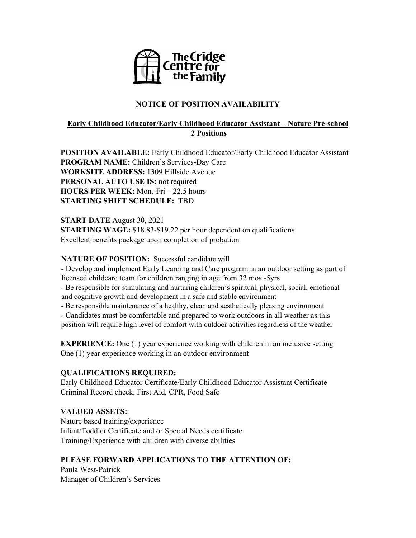

# **NOTICE OF POSITION AVAILABILITY**

## **Early Childhood Educator/Early Childhood Educator Assistant – Nature Pre-school 2 Positions**

**POSITION AVAILABLE:** Early Childhood Educator/Early Childhood Educator Assistant **PROGRAM NAME:** Children's Services**-**Day Care **WORKSITE ADDRESS:** 1309 Hillside Avenue **PERSONAL AUTO USE IS:** not required **HOURS PER WEEK:** Mon.-Fri – 22.5 hours **STARTING SHIFT SCHEDULE:** TBD

**START DATE** August 30, 2021 **STARTING WAGE:** \$18.83-\$19.22 per hour dependent on qualifications Excellent benefits package upon completion of probation

#### **NATURE OF POSITION:** Successful candidate will

- Develop and implement Early Learning and Care program in an outdoor setting as part of licensed childcare team for children ranging in age from 32 mos.-5yrs

- Be responsible for stimulating and nurturing children's spiritual, physical, social, emotional and cognitive growth and development in a safe and stable environment

- Be responsible maintenance of a healthy, clean and aesthetically pleasing environment

**-** Candidates must be comfortable and prepared to work outdoors in all weather as this position will require high level of comfort with outdoor activities regardless of the weather

**EXPERIENCE:** One (1) year experience working with children in an inclusive setting One (1) year experience working in an outdoor environment

## **QUALIFICATIONS REQUIRED:**

Early Childhood Educator Certificate/Early Childhood Educator Assistant Certificate Criminal Record check, First Aid, CPR, Food Safe

## **VALUED ASSETS:**

Nature based training/experience Infant/Toddler Certificate and or Special Needs certificate Training/Experience with children with diverse abilities

## **PLEASE FORWARD APPLICATIONS TO THE ATTENTION OF:**

Paula West-Patrick Manager of Children's Services